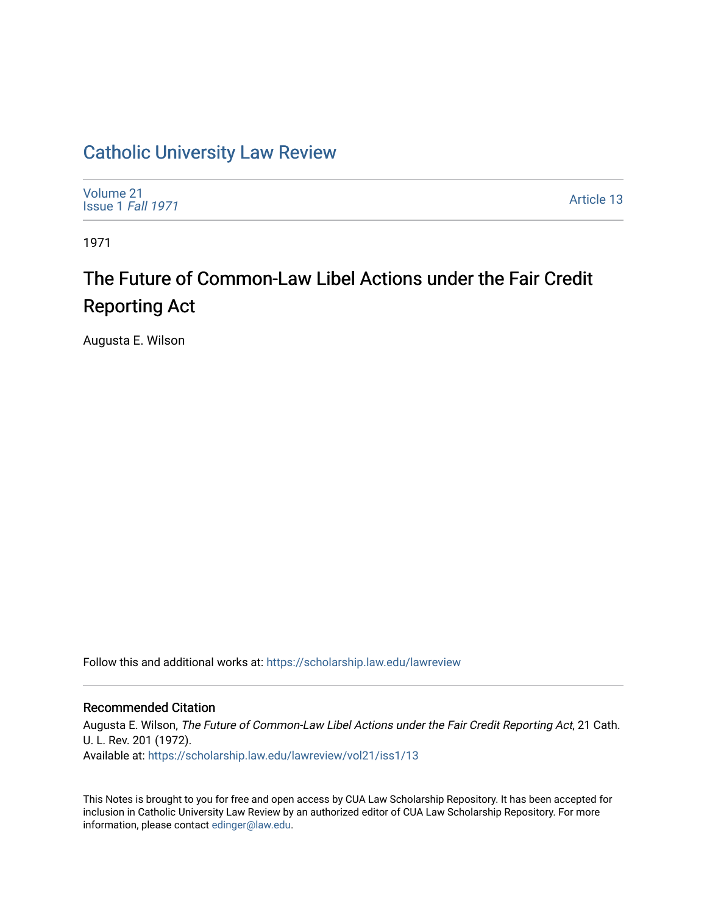## [Catholic University Law Review](https://scholarship.law.edu/lawreview)

[Volume 21](https://scholarship.law.edu/lawreview/vol21) [Issue 1](https://scholarship.law.edu/lawreview/vol21/iss1) Fall 1971

[Article 13](https://scholarship.law.edu/lawreview/vol21/iss1/13) 

1971

# The Future of Common-Law Libel Actions under the Fair Credit Reporting Act

Augusta E. Wilson

Follow this and additional works at: [https://scholarship.law.edu/lawreview](https://scholarship.law.edu/lawreview?utm_source=scholarship.law.edu%2Flawreview%2Fvol21%2Fiss1%2F13&utm_medium=PDF&utm_campaign=PDFCoverPages)

#### Recommended Citation

Augusta E. Wilson, The Future of Common-Law Libel Actions under the Fair Credit Reporting Act, 21 Cath. U. L. Rev. 201 (1972). Available at: [https://scholarship.law.edu/lawreview/vol21/iss1/13](https://scholarship.law.edu/lawreview/vol21/iss1/13?utm_source=scholarship.law.edu%2Flawreview%2Fvol21%2Fiss1%2F13&utm_medium=PDF&utm_campaign=PDFCoverPages) 

This Notes is brought to you for free and open access by CUA Law Scholarship Repository. It has been accepted for inclusion in Catholic University Law Review by an authorized editor of CUA Law Scholarship Repository. For more information, please contact [edinger@law.edu.](mailto:edinger@law.edu)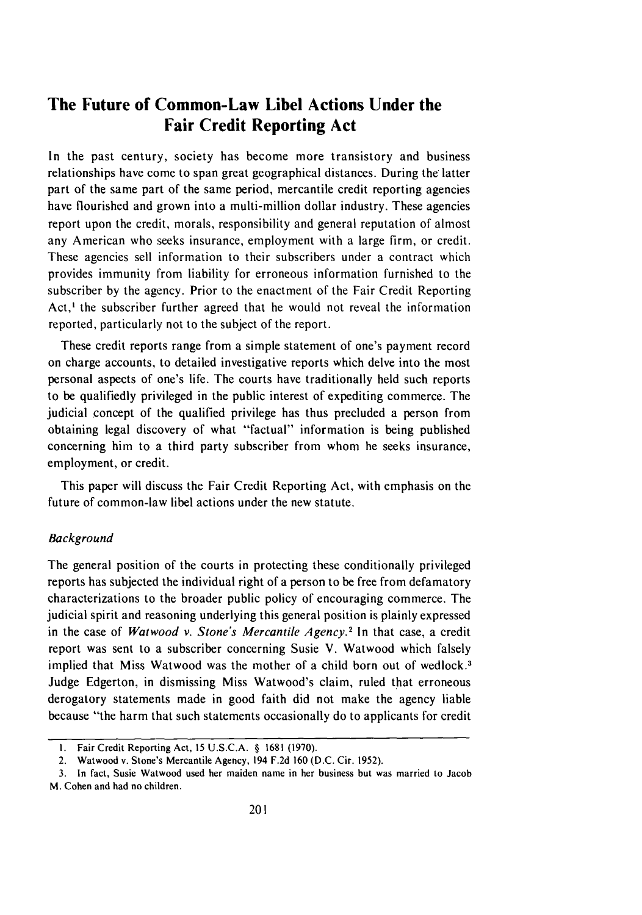### **The Future of Common-Law Libel Actions Under the Fair Credit Reporting Act**

In the past century, society has become more transistory and business relationships have come to span great geographical distances. During the latter part of the same part of the same period, mercantile credit reporting agencies have flourished and grown into a multi-million dollar industry. These agencies report upon the credit, morals, responsibility and general reputation of almost any American who seeks insurance, employment with a large firm, or credit. These agencies sell information to their subscribers under a contract which provides immunity from liability for erroneous information furnished to the subscriber by the agency. Prior to the enactment of the Fair Credit Reporting Act,' the subscriber further agreed that he would not reveal the information reported, particularly not to the subject of the report.

These credit reports range from a simple statement of one's payment record on charge accounts, to detailed investigative reports which delve into the most personal aspects of one's life. The courts have traditionally held such reports to be qualifiedly privileged in the public interest of expediting commerce. The judicial concept of the qualified privilege has thus precluded a person from obtaining legal discovery of what "factual" information is being published concerning him to a third party subscriber from whom he seeks insurance, employment, or credit.

This paper will discuss the Fair Credit Reporting Act, with emphasis on the future of common-law libel actions under the new statute.

#### Background

The general position of the courts in protecting these conditionally privileged reports has subjected the individual right of a person to be free from defamatory characterizations to the broader public policy of encouraging commerce. The judicial spirit and reasoning underlying this general position is plainly expressed in the case of Watwood v. Stone's Mercantile Agency.<sup>2</sup> In that case, a credit report was sent to a subscriber concerning Susie V. Watwood which falsely implied that Miss Watwood was the mother of a child born out of wedlock.<sup>3</sup> Judge Edgerton, in dismissing Miss Watwood's claim, ruled that erroneous derogatory statements made in good faith did not make the agency liable because "the harm that such statements occasionally do to applicants for credit

I. Fair Credit Reporting Act, 15 **U.S.C.A.** § 1681 (1970).

<sup>2.</sup> Watwood v. Stone's Mercantile Agency, 194 F.2d 160 (D.C. Cir. 1952).

<sup>3.</sup> In fact, Susie Watwood used her maiden name in her business but was married to Jacob M. Cohen and had no children.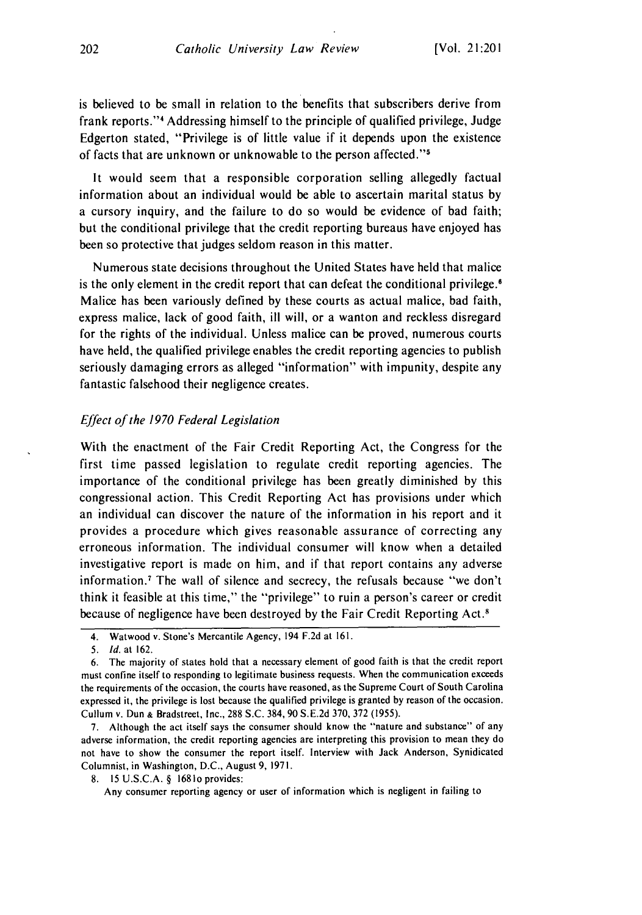is believed to be small in relation to the benefits that subscribers derive from frank reports."' Addressing himself to the principle of qualified privilege, Judge Edgerton stated, "Privilege is of little value if it depends upon the existence of facts that are unknown or unknowable to the person affected."<sup>5</sup>

It would seem that a responsible corporation selling allegedly factual information about an individual would be able to ascertain marital status by a cursory inquiry, and the failure to do so would be evidence of bad faith; but the conditional privilege that the credit reporting bureaus have enjoyed has been so protective that judges seldom reason in this matter.

Numerous state decisions throughout the United States have held that malice is the only element in the credit report that can defeat the conditional privilege.<sup>6</sup> Malice has been variously defined by these courts as actual malice, bad faith, express malice, lack of good faith, ill will, or a wanton and reckless disregard for the rights of the individual. Unless malice can be proved, numerous courts have held, the qualified privilege enables the credit reporting agencies to publish seriously damaging errors as alleged "information" with impunity, despite any fantastic falsehood their negligence creates.

#### Effect of the 1970 Federal *Legislation*

With the enactment of the Fair Credit Reporting Act, the Congress for the first time passed legislation to regulate credit reporting agencies. The importance of the conditional privilege has been greatly diminished by this congressional action. This Credit Reporting Act has provisions under which an individual can discover the nature of the information in his report and it provides a procedure which gives reasonable assurance of correcting any erroneous information. The individual consumer will know when a detailed investigative report is made on him, and if that report contains any adverse information.7 The wall of silence and secrecy, the refusals because "we don't think it feasible at this time," the "privilege" to ruin a person's career or credit because of negligence have been destroyed by the Fair Credit Reporting Act.<sup>8</sup>

8. **15 U.S.C.A. § 16810 provides:** 

Any consumer reporting agency or user of information which is negligent in failing to

<sup>4.</sup> Watwood v. Stone's Mercantile Agency, 194 F.2d at 161.

*<sup>5.</sup> Id.* at 162.

<sup>6.</sup> The majority of states hold that a necessary element of good faith is that the credit report must confine itself to responding to legitimate business requests. When the communication exceeds the requirements of the occasion, the courts have reasoned, as the Supreme Court of South Carolina expressed it, the privilege is lost because the qualified privilege is granted by reason of the occasion. Cullum v. Dun **&** Bradstreet, Inc., 288 S.C. 384, 90 S.E.2d 370, 372 (1955).

<sup>7.</sup> Although the act itself says the consumer should know the "nature and substance" of any adverse information, the credit reporting agencies are interpreting this provision to mean they do not have to show the consumer the report itself. Interview with Jack Anderson, Synidicated Columnist, in Washington, D.C., August 9, 1971.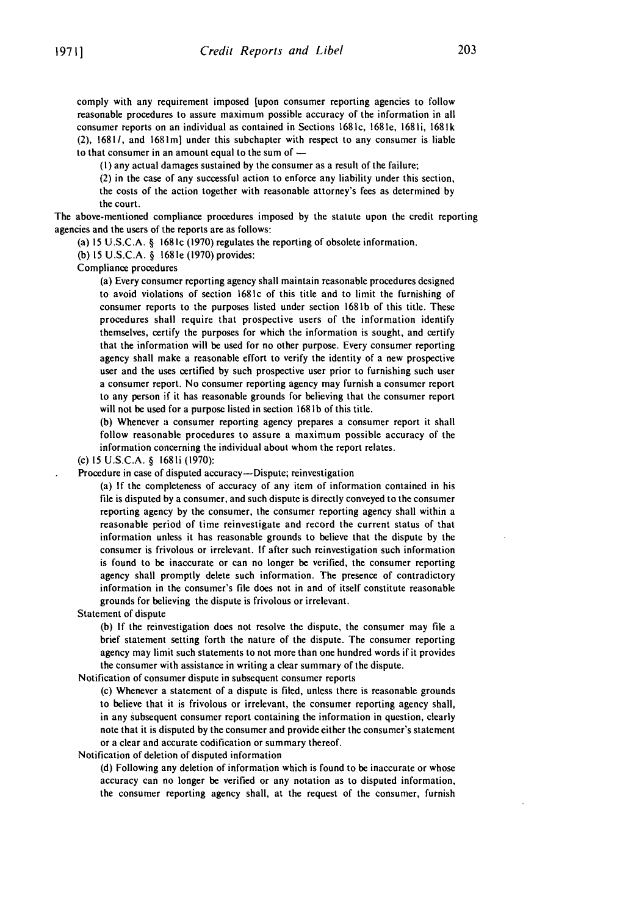comply with any requirement imposed [upon consumer reporting agencies to follow reasonable procedures to assure maximum possible accuracy of the information in all consumer reports on an individual as contained in Sections 1681c, 1681e, 1681i, 1681k (2), 16811, and 1681m] under this subchapter with respect to any consumer is liable to that consumer in an amount equal to the sum of  $-$ 

(I) any actual damages sustained by the consumer as a result of the failure;

(2) in the case of any successful action to enforce any liability under this section,

the costs of the action together with reasonable attorney's fees as determined by the court.

The above-mentioned compliance procedures imposed by the statute upon the credit reporting agencies and the users of the reports are as follows:

(a) 15 **U.S.C.A.** § 168 Ic (1970) regulates the reporting of obsolete information.

(b) 15 U.S.C.A. § 168le (1970) provides:

Compliance procedures

(a) Every consumer reporting agency shall maintain reasonable procedures designed to avoid violations of section 1681c of this title and to limit the furnishing of consumer reports to the purposes listed under section 1681b of this title. These procedures shall require that prospective users of the information identify themselves, certify the purposes for which the information is sought, and certify that the information will be used for no other purpose. Every consumer reporting agency shall make a reasonable effort to verify the identity of a new prospective user and the uses certified by such prospective user prior to furnishing such user a consumer report. No consumer reporting agency may furnish a consumer report to any person if it has reasonable grounds for believing that the consumer report will not be used for a purpose listed in section 1681b of this title.

(b) Whenever a consumer reporting agency prepares a consumer report it shall follow reasonable procedures to assure a maximum possible accuracy of the information concerning the individual about whom the report relates.

(c) 15 U.S.C.A. § 1681i (1970):

Procedure in case of disputed accuracy-Dispute; reinvestigation

(a) If the completeness of accuracy of any item of information contained in his file is disputed by a consumer, and such dispute is directly conveyed to the consumer reporting agency by the consumer, the consumer reporting agency shall within a reasonable period of time reinvestigate and record the current status of that information unless it has reasonable grounds to believe that the dispute by the consumer is frivolous or irrelevant. If after such reinvestigation such information is found to be inaccurate or can no longer be verified, the consumer reporting agency shall promptly delete such information. The presence of contradictory information in the consumer's file does not in and of itself constitute reasonable grounds for believing the dispute is frivolous or irrelevant.

Statement of dispute

(b) If the reinvestigation does not resolve the dispute, the consumer may file a brief statement setting forth the nature of the dispute. The consumer reporting agency may limit such statements to not more than one hundred words if it provides the consumer with assistance in writing a clear summary of the dispute.

Notification of consumer dispute in subsequent consumer reports

(c) Whenever a statement of a dispute is filed, unless there is reasonable grounds to believe that it is frivolous or irrelevant, the consumer reporting agency shall, in any subsequent consumer report containing the information in question, clearly note that it is disputed by the consumer and provide either the consumer's statement or a clear and accurate codification or summary thereof.

Notification of deletion of disputed information

(d) Following any deletion of information which is found to be inaccurate or whose accuracy can no longer be verified or any notation as to disputed information, the consumer reporting agency shall, at the request of the consumer, furnish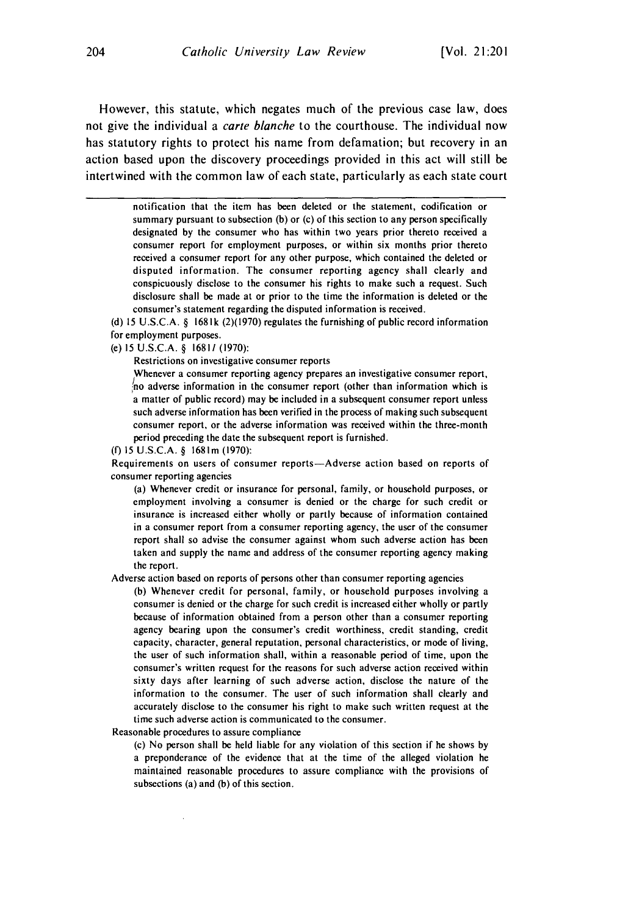However, this statute, which negates much of the previous case law, does not give the individual a *carte blanche* to the courthouse. The individual now has statutory rights to protect his name from defamation; but recovery in an action based upon the discovery proceedings provided in this act will still be intertwined with the common law of each state, particularly as each state court

> notification that the item has been deleted or the statement, codification or summary pursuant to subsection (b) or (c) of this section to any person specifically designated by the consumer who has within two years prior thereto received a consumer report for employment purposes, or within six months prior thereto received a consumer report for any other purpose, which contained the deleted or disputed information. The consumer reporting agency shall clearly and conspicuously disclose to the consumer his rights to make such a request. Such disclosure shall be made at or prior to the time the information is deleted or the consumer's statement regarding the disputed information is received.

(d) 15 U.S.C.A. § 1681k (2)(1970) regulates the furnishing of public record information for employment purposes.

(e) 15 U.S.C.A. § 1681/ (1970):

Restrictions on investigative consumer reports

Whenever a consumer reporting agency prepares an investigative consumer report, ,no adverse information in the consumer report (other than information which is a matter of public record) may be included in a subsequent consumer report unless such adverse information has been verified in the process of making such subsequent consumer report, or the adverse information was received within the three-month period preceding the date the subsequent report is furnished.

(f) 15 U.S.C.A. § 1681m (1970):

Requirements on users of consumer reports-Adverse action based on reports of consumer reporting agencies

(a) Whenever credit or insurance for personal, family, or household purposes, or employment involving a consumer is denied or the charge for such credit or insurance is increased either wholly or partly because of information contained in a consumer report from a consumer reporting agency, the user of the consumer report shall so advise the consumer against whom such adverse action has been taken and supply the name and address of the consumer reporting agency making the report.

Adverse action based on reports of persons other than consumer reporting agencies

(b) Whenever credit for personal, family, or household purposes involving a consumer is denied or the charge for such credit is increased either wholly or partly because of information obtained from a person other than a consumer reporting agency bearing upon the consumer's credit worthiness, credit standing, credit capacity, character, general reputation, personal characteristics, or mode of living, the user of such information shall, within a reasonable period of time, upon the consumer's written request for the reasons for such adverse action received within sixty days after learning of such adverse action, disclose the nature of the information to the consumer. The user of such information shall clearly and accurately disclose to the consumer his right to make such written request at the time such adverse action is communicated to the consumer.

Reasonable procedures to assure compliance

 $\ddot{\phantom{a}}$ 

(c) No person shall be held liable for any violation of this section if he shows by a preponderance of the evidence that at the time of the alleged violation he maintained reasonable procedures to assure compliance with the provisions of subsections (a) and **(b)** of this section.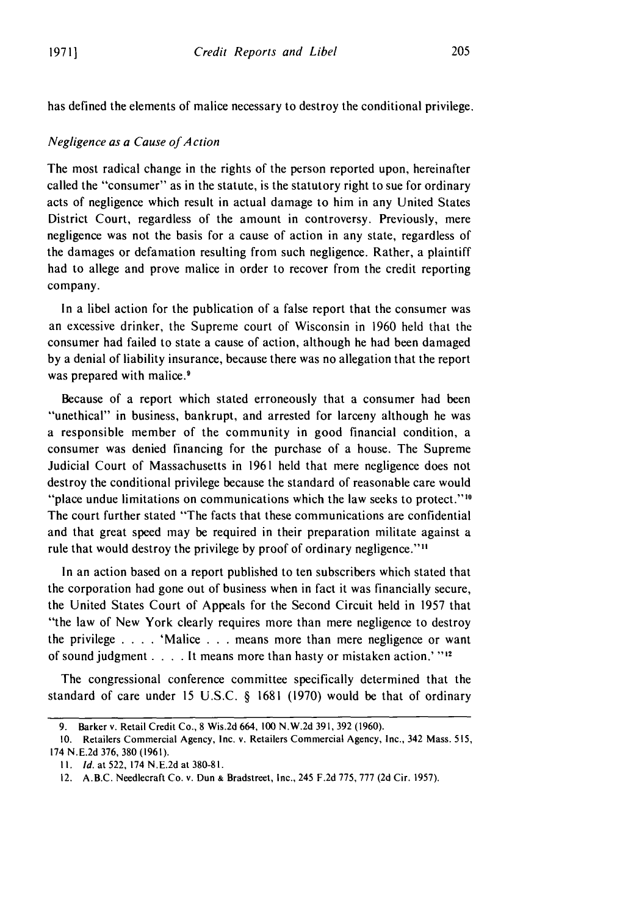#### Negligence as a Cause of Action

The most radical change in the rights of the person reported upon, hereinafter called the "consumer" as in the statute, is the statutory right to sue for ordinary acts of negligence which result in actual damage to him in any United States District Court, regardless of the amount in controversy. Previously, mere negligence was not the basis for a cause of action in any state, regardless of the damages or defamation resulting from such negligence. Rather, a plaintiff had to allege and prove malice in order to recover from the credit reporting company.

In a libel action for the publication of a false report that the consumer was an excessive drinker, the Supreme court of Wisconsin in 1960 held that the consumer had failed to state a cause of action, although he had been damaged by a denial of liability insurance, because there was no allegation that the report was prepared with malice.<sup>9</sup>

Because of a report which stated erroneously that a consumer had been "unethical" in business, bankrupt, and arrested for larceny although he was a responsible member of the community in good financial condition, a consumer was denied financing for the purchase of a house. The Supreme Judicial Court of Massachusetts in 1961 held that mere negligence does not destroy the conditional privilege because the standard of reasonable care would "place undue limitations on communications which the law seeks to protect." The court further stated "The facts that these communications are confidential and that great speed may be required in their preparation militate against a rule that would destroy the privilege by proof of ordinary negligence.""I

In an action based on a report published to ten subscribers which stated that the corporation had gone out of business when in fact it was financially secure, the United States Court of Appeals for the Second Circuit held in 1957 that "the law of New York clearly requires more than mere negligence to destroy the privilege . **. .** . 'Malice . **..**means more than mere negligence or want of sound judgment . **. .** .It means more than hasty or mistaken action.' **"1**

The congressional conference committee specifically determined that the standard of care under 15 U.S.C. § 1681 (1970) would be that of ordinary

<sup>9.</sup> Barker v. Retail Credit Co., 8 Wis.2d 664, 100 N.W.2d 391, 392 (1960).

**<sup>10.</sup>** Retailers Commercial Agency, Inc. v. Retailers Commercial Agency, Inc., 342 Mass. 515, 174 N.E.2d 376, 380 (1961).

II. *Id.* at 522, 174 N.E.2d at 380-81.

<sup>12.</sup> A.B.C. Needlecraft Co. v. Dun **&** Bradstreet. Inc.. 245 F.2d 775. 777 (2d Cir. 1957).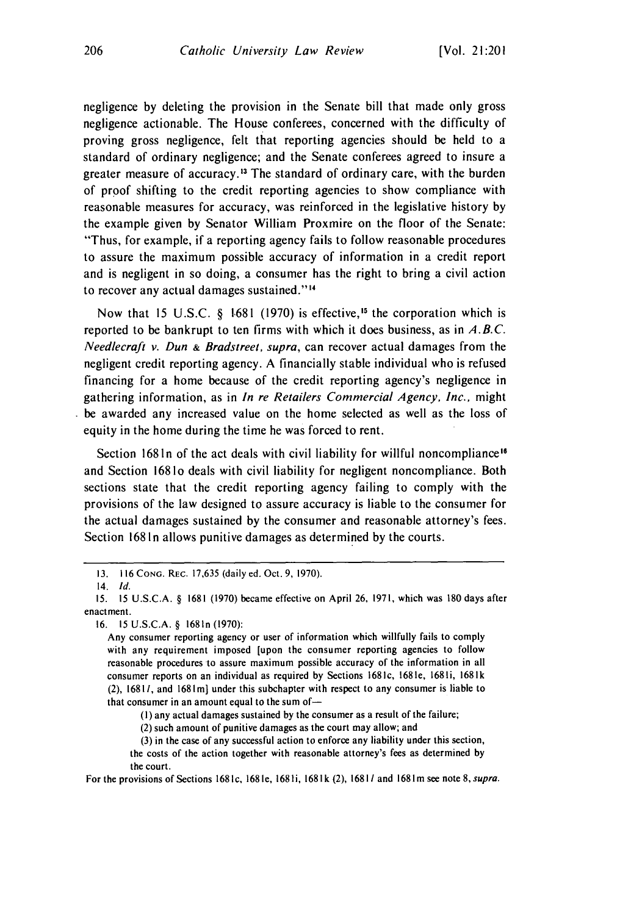negligence by deleting the provision in the Senate bill that made only gross negligence actionable. The House conferees, concerned with the difficulty of proving gross negligence, felt that reporting agencies should be held to a standard of ordinary negligence; and the Senate conferees agreed to insure a greater measure of accuracy.<sup>13</sup> The standard of ordinary care, with the burden of proof shifting to the credit reporting agencies to show compliance with reasonable measures for accuracy, was reinforced in the legislative history by the example given by Senator William Proxmire on the floor of the Senate: "Thus, for example, if a reporting agency fails to follow reasonable procedures to assure the maximum possible accuracy of information in a credit report and is negligent in so doing, a consumer has the right to bring a civil action to recover any actual damages sustained." <sup>4</sup>

Now that 15 U.S.C. § 1681 (1970) is effective,<sup>15</sup> the corporation which is reported to be bankrupt to ten firms with which it does business, as in  $A.B.C.$ Needlecraft *v. Dun & Bradstreet, supra,* can recover actual damages from the negligent credit reporting agency. A financially stable individual who is refused financing for a home because of the credit reporting agency's negligence in gathering information, as in *In re Retailers Commercial Agency, Inc.,* might be awarded any increased value on the home selected as well as the loss of equity in the home during the time he was forced to rent.

Section 1681n of the act deals with civil liability for willful noncompliance<sup>16</sup> and Section 1681o deals with civil liability for negligent noncompliance. Both sections state that the credit reporting agency failing to comply with the provisions of the law designed to assure accuracy is liable to the consumer for the actual damages sustained by the consumer and reasonable attorney's fees. Section 168 **In** allows punitive damages as determined by the courts.

14. *Id.*

16. 15 U.S.C.A. § 1681n (1970):

**(1)** any actual damages sustained by the consumer as a result of the failure;

(2) such amount of punitive damages as the court may allow; and

(3) in the case of any successful action to enforce any liability under this section, the costs of the action together with reasonable attorney's fees as determined by the court.

For the provisions of Sections 1681c, 168le, **1681i,** 1681k (2), 16811 and **1681m** see note 8, supra.

<sup>13. 116</sup> **CONG.** REC. 17,635 (daily ed. Oct. 9, 1970).

<sup>15. 15</sup> U.S.C.A. § 1681 (1970) became effective on April 26, 1971, which was 180 days after enactment.

Any consumer reporting agency or user of information which willfully fails to comply with any requirement imposed [upon the consumer reporting agencies to follow reasonable procedures to assure maximum possible accuracy of the information in all consumer reports on an individual as required by Sections 1681c, 1681e, 1681i, 1681k (2), 16811, and 1681m] under this subchapter with respect to any consumer is liable to that consumer in an amount equal to the sum of $-$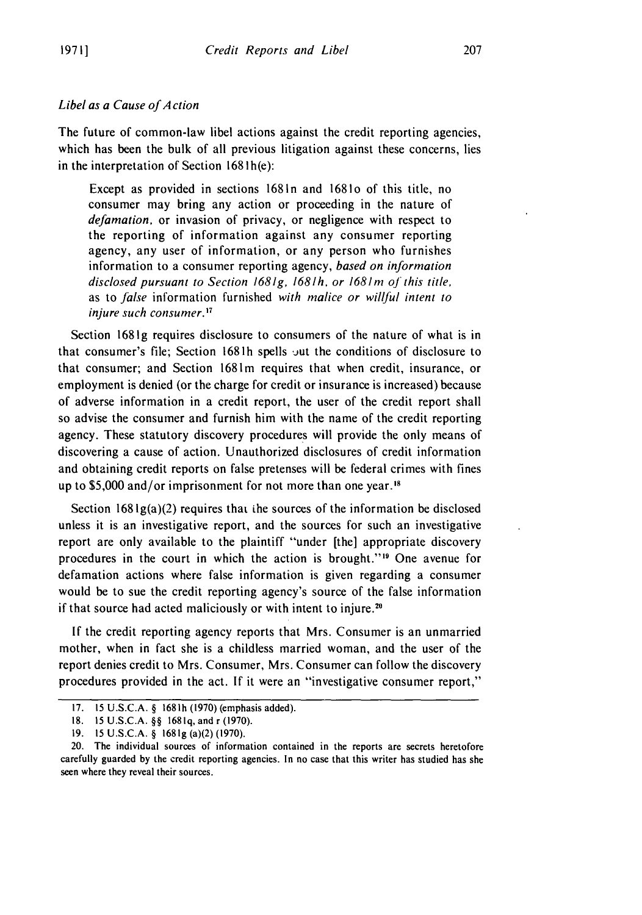#### Libel as a Cause of A ction

The future of common-law libel actions against the credit reporting agencies, which has been the bulk of all previous litigation against these concerns, lies in the interpretation of Section 168 1h(e):

Except as provided in sections 1681n and 1681o of this title, no consumer may bring any action or proceeding in the nature of defamation, or invasion of privacy, or negligence with respect to the reporting of information against any consumer reporting agency, any user of information, or any person who furnishes information to a consumer reporting agency, based on information disclosed pursuant to Section *168* 1g, 168/h, or 1681m *of* this title, as to false information furnished with malice or willful intent to injure such consumer. *<sup>7</sup>*

Section 1681g requires disclosure to consumers of the nature of what is in that consumer's file; Section  $1681h$  spells out the conditions of disclosure to that consumer; and Section 1681m requires that when credit, insurance, or employment is denied (or the charge for credit or insurance is increased) because of adverse information in a credit report, the user of the credit report shall so advise the consumer and furnish him with the name of the credit reporting agency. These statutory discovery procedures will provide the only means of discovering a cause of action. Unauthorized disclosures of credit information and obtaining credit reports on false pretenses will be federal crimes with fines up to \$5,000 and/or imprisonment for not more than one year.<sup>18</sup>

Section  $168 \lg(a)(2)$  requires that the sources of the information be disclosed unless it is an investigative report, and the sources for such an investigative report are only available to the plaintiff "under [the] appropriate discovery procedures in the court in which the action is brought."<sup>19</sup> One avenue for defamation actions where false information is given regarding a consumer would be to sue the credit reporting agency's source of the false information if that source had acted maliciously or with intent to injure. <sup>20</sup>

If the credit reporting agency reports that Mrs. Consumer is an unmarried mother, when in fact she is a childless married woman, and the user of the report denies credit to Mrs. Consumer, Mrs. Consumer can follow the discovery procedures provided in the act. If it were an "investigative consumer report,"

<sup>17. 15</sup> U.S.C.A. § 1681h (1970) (emphasis added).

<sup>18. 15</sup> **U.S.C.A. §§** 1681q, and r (1970).

**<sup>19. 15</sup> U.S.C.A.** § **1681g** (a)(2) **(1970).**

<sup>20.</sup> The individual sources of information contained in the reports are secrets heretofore carefully guarded by the credit reporting agencies. In no case that this writer has studied has she seen where they reveal their sources.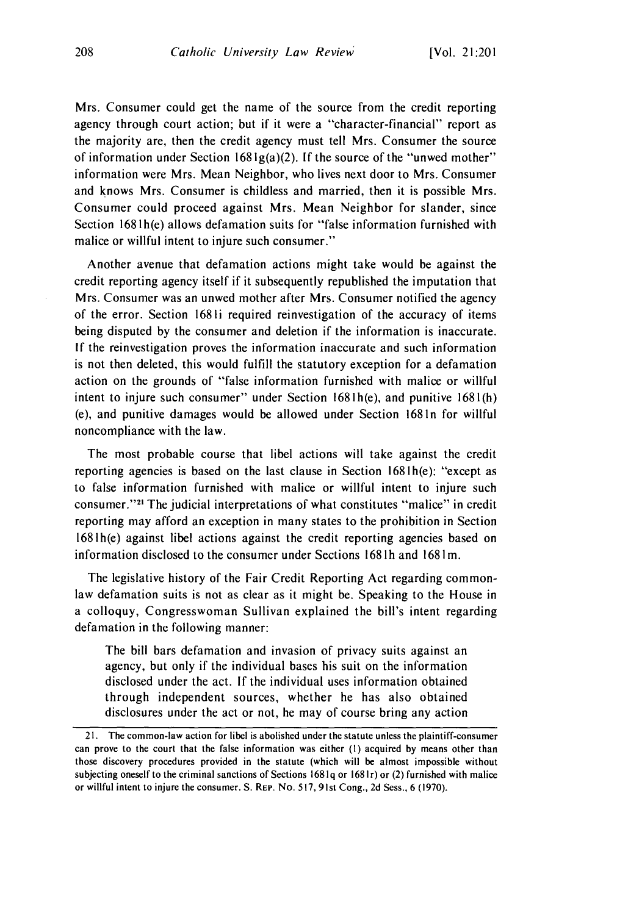Mrs. Consumer could get the name of the source from the credit reporting agency through court action; but if it were a "character-financial" report as the majority are, then the credit agency must tell Mrs. Consumer the source of information under Section 168 1g(a)(2). If the source of the "unwed mother" information were Mrs. Mean Neighbor, who lives next door to Mrs. Consumer and knows Mrs. Consumer is childless and married, then it is possible Mrs. Consumer could proceed against Mrs. Mean Neighbor for slander, since Section 1681h(e) allows defamation suits for "false information furnished with malice or willful intent to injure such consumer."

Another avenue that defamation actions might take would be against the credit reporting agency itself if it subsequently republished the imputation that Mrs. Consumer was an unwed mother after Mrs. Consumer notified the agency of the error. Section 1681i required reinvestigation of the accuracy of items being disputed by the consumer and deletion if the information is inaccurate. If the reinvestigation proves the information inaccurate and such information is not then deleted, this would fulfill the statutory exception for a defamation action on the grounds of "false information furnished with malice or willful intent to injure such consumer" under Section 1681h(e), and punitive 1681(h) (e), and punitive damages would be allowed under Section 1681n for willful noncompliance with the law.

The most probable course that libel actions will take against the credit reporting agencies is based on the last clause in Section  $1681h(e)$ : "except as to false information furnished with malice or willful intent to injure such consumer."<sup>21</sup> The judicial interpretations of what constitutes "malice" in credit reporting may afford an exception in many states to the prohibition in Section 1681h(e) against libel actions against the credit reporting agencies based on information disclosed to the consumer under Sections 168 **1h** and 168 **1m.**

The legislative history of the Fair Credit Reporting Act regarding commonlaw defamation suits is not as clear as it might be. Speaking to the House in a colloquy, Congresswoman Sullivan explained the bill's intent regarding defamation in the following manner:

The bill bars defamation and invasion of privacy suits against an agency, but only if the individual bases his suit on the information disclosed under the act. If the individual uses information obtained through independent sources, whether he has also obtained disclosures under the act or not, he may of course bring any action

<sup>21.</sup> The common-law action for libel is abolished under the statute unless the plaintiff-consumer can prove to the court that the false information was either (I) acquired by means other than those discovery procedures provided in the statute (which will be almost impossible without subjecting oneself to the criminal sanctions of Sections **168lq** or 168 1r) or (2) furnished with malice or willful intent to injure the consumer. S. REP. No. 517, 91st Cong., 2d Sess., 6 (1970).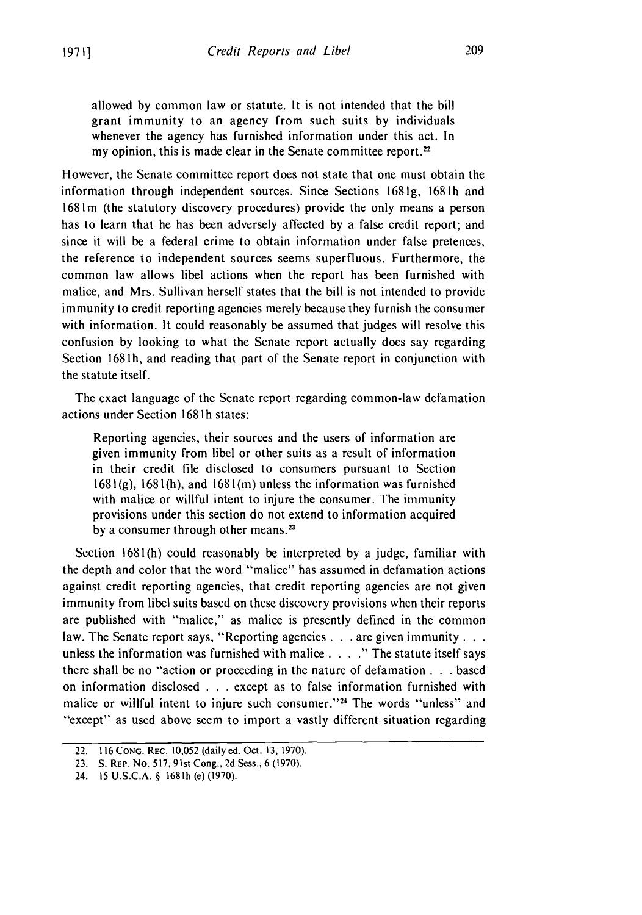allowed by common law or statute. It is not intended that the bill grant immunity to an agency from such suits by individuals whenever the agency has furnished information under this act. In my opinion, this is made clear in the Senate committee report.<sup>22</sup>

However, the Senate committee report does not state that one must obtain the information through independent sources. Since Sections 1681g, 1681h and 1681m (the statutory discovery procedures) provide the only means a person has to learn that he has been adversely affected by a false credit report; and since it will be a federal crime to obtain information under false pretences, the reference to independent sources seems superfluous. Furthermore, the common law allows libel actions when the report has been furnished with malice, and Mrs. Sullivan herself states that the bill is not intended to provide immunity to credit reporting agencies merely because they furnish the consumer with information. It could reasonably be assumed that judges will resolve this confusion by looking to what the Senate report actually does say regarding Section 168 **1h,** and reading that part of the Senate report in conjunction with the statute itself.

The exact language of the Senate report regarding common-law defamation actions under Section 168 **1h** states:

Reporting agencies, their sources and the users of information are given immunity from libel or other suits as a result of information in their credit file disclosed to consumers pursuant to Section  $1681(g)$ ,  $1681(h)$ , and  $1681(m)$  unless the information was furnished with malice or willful intent to injure the consumer. The immunity provisions under this section do not extend to information acquired by a consumer through other means. $^{22}$ 

Section 1681(h) could reasonably be interpreted by a judge, familiar with the depth and color that the word "malice" has assumed in defamation actions against credit reporting agencies, that credit reporting agencies are not given immunity from libel suits based on these discovery provisions when their reports are published with "malice," as malice is presently defined in the common law. The Senate report says, "Reporting agencies **...** are given immunity... unless the information was furnished with malice . **. . ."** The statute itself says there shall be no "action or proceeding in the nature of defamation **...** based on information disclosed . . . except as to false information furnished with malice or willful intent to injure such consumer."<sup>24</sup> The words "unless" and "except" as used above seem to import a vastly different situation regarding

<sup>22. 116</sup> **CONG.** REC. 10,052 (daily ed. Oct. 13, 1970).

<sup>23.</sup> S. REP. No. 517, 91st Cong., 2d Sess., 6 (1970).

<sup>24. 15</sup> U.S.C.A. § 1681h (e) (1970).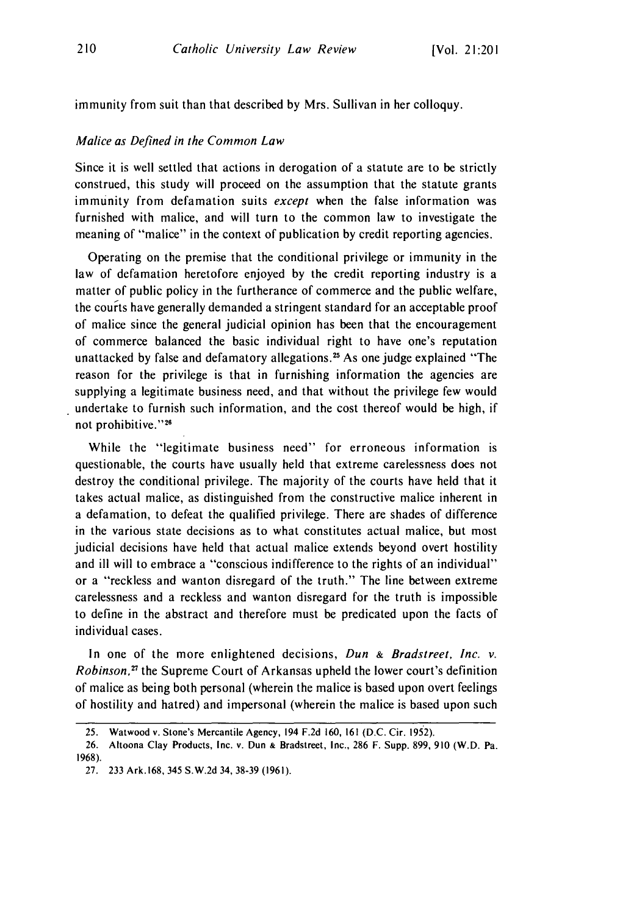immunity from suit than that described by Mrs. Sullivan in her colloquy.

#### Malice as Defined in the Common Law

Since it is well settled that actions in derogation of a statute are to be strictly construed, this study will proceed on the assumption that the statute grants immunity from defamation suits except when the false information was furnished with malice, and will turn to the common law to investigate the meaning of "malice" in the context of publication by credit reporting agencies.

Operating on the premise that the conditional privilege or immunity in the law of defamation heretofore enjoyed by the credit reporting industry is a matter of public policy in the furtherance of commerce and the public welfare, the courts have generally demanded a stringent standard for an acceptable proof of malice since the general judicial opinion has been that the encouragement of commerce balanced the basic individual right to have one's reputation unattacked by false and defamatory allegations.<sup>25</sup> As one judge explained "The reason for the privilege is that in furnishing information the agencies are supplying a legitimate business need, and that without the privilege few would undertake to furnish such information, and the cost thereof would be high, if not prohibitive."<sup>26</sup>

While the "legitimate business need" for erroneous information is questionable, the courts have usually held that extreme carelessness does not destroy the conditional privilege. The majority of the courts have held that it takes actual malice, as distinguished from the constructive malice inherent in a defamation, to defeat the qualified privilege. There are shades of difference in the various state decisions as to what constitutes actual malice, but most judicial decisions have held that actual malice extends beyond overt hostility and ill will to embrace a "conscious indifference to the rights of an individual" or a "reckless and wanton disregard of the truth." The line between extreme carelessness and a reckless and wanton disregard for the truth is impossible to define in the abstract and therefore must be predicated upon the facts of individual cases.

In one of the more enlightened decisions, Dun *&* Bradstreet, *Inc. v. Robinson,2Y* the Supreme Court of Arkansas upheld the lower court's definition of malice as being both personal (wherein the malice is based upon overt feelings of hostility and hatred) and impersonal (wherein the malice is based upon such

<sup>25.</sup> Watwood v. Stone's Mercantile Agency, 194 F.2d 160, 161 (D.C. Cir. 1952).

**<sup>26.</sup>** Altoona Clay Products, Inc. v. Dun **&** Bradstreet, Inc., **286** F. Supp. **899, 910** (W.D. Pa. **1968).**

<sup>27. 233</sup> Ark.168, 345 S.W.2d 34, 38-39 (1961).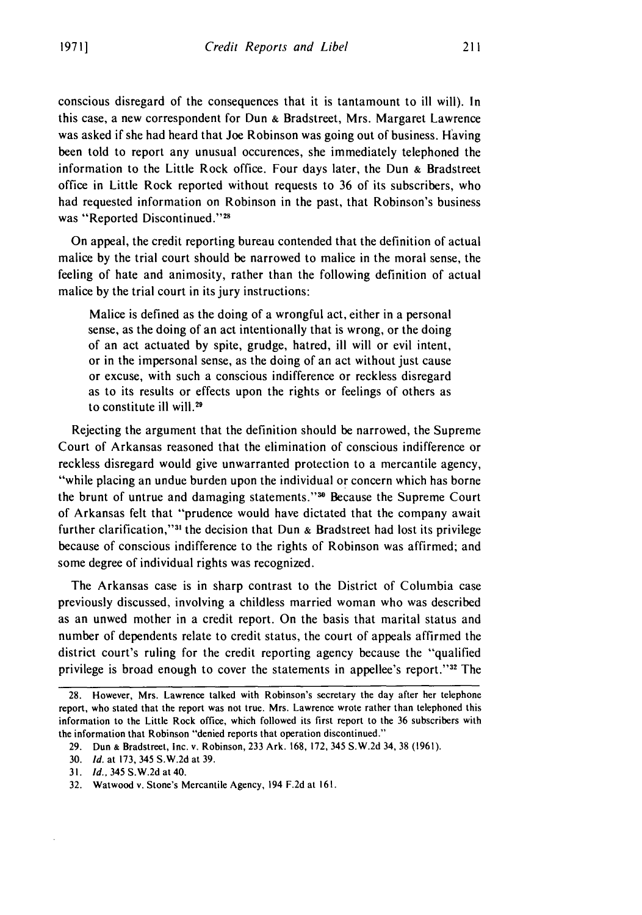conscious disregard of the consequences that it is tantamount to ill will). In this case, a new correspondent for Dun & Bradstreet, Mrs. Margaret Lawrence was asked if she had heard that Joe Robinson was going out of business. Having been told to report any unusual occurences, she immediately telephoned the information to the Little Rock office. Four days later, the Dun & Bradstreet office in Little Rock reported without requests to 36 of its subscribers, who had requested information on Robinson in the past, that Robinson's business was "Reported Discontinued."<sup>28</sup>

On appeal, the credit reporting bureau contended that the definition of actual malice by the trial court should be narrowed to malice in the moral sense, the feeling of hate and animosity, rather than the following definition of actual malice by the trial court in its jury instructions:

Malice is defined as the doing of a wrongful act, either in a personal sense, as the doing of an act intentionally that is wrong, or the doing of an act actuated by spite, grudge, hatred, ill will or evil intent, or in the impersonal sense, as the doing of an act without just cause or excuse, with such a conscious indifference or reckless disregard as to its results or effects upon the rights or feelings of others as to constitute ill will.29

Rejecting the argument that the definition should be narrowed, the Supreme Court of Arkansas reasoned that the elimination of conscious indifference or reckless disregard would give unwarranted protection to a mercantile agency, "while placing an undue burden upon the individual or concern which has borne the brunt of untrue and damaging statements."<sup>30</sup> Because the Supreme Court of Arkansas felt that "prudence would have dictated that the company await further clarification,"<sup>31</sup> the decision that Dun  $\&$  Bradstreet had lost its privilege because of conscious indifference to the rights of Robinson was affirmed; and some degree of individual rights was recognized.

The Arkansas case is in sharp contrast to the District of Columbia case previously discussed, involving a childless married woman who was described as an unwed mother in a credit report. On the basis that marital status and number of dependents relate to credit status, the court of appeals affirmed the district court's ruling for the credit reporting agency because the "qualified privilege is broad enough to cover the statements in appellee's report."<sup>32</sup> The

<sup>28.</sup> However, Mrs. Lawrence talked with Robinson's secretary the day after her telephone report, who stated that the report was not true. Mrs. Lawrence wrote rather than telephoned this information to the Little Rock office, which followed its first report to the 36 subscribers with the information that Robinson "denied reports that operation discontinued."

<sup>29.</sup> Dun & Bradstreet, Inc. v. Robinson, 233 Ark. 168, 172, 345 S.W.2d 34, 38 (1961).

<sup>30.</sup> *Id.* at 173, 345 S.W.2d at 39.

<sup>31.</sup> Id.,345S.W.2dat4O.

<sup>32.</sup> Watwood v. Stone's Mercantile Agency, 194 F.2d at 161.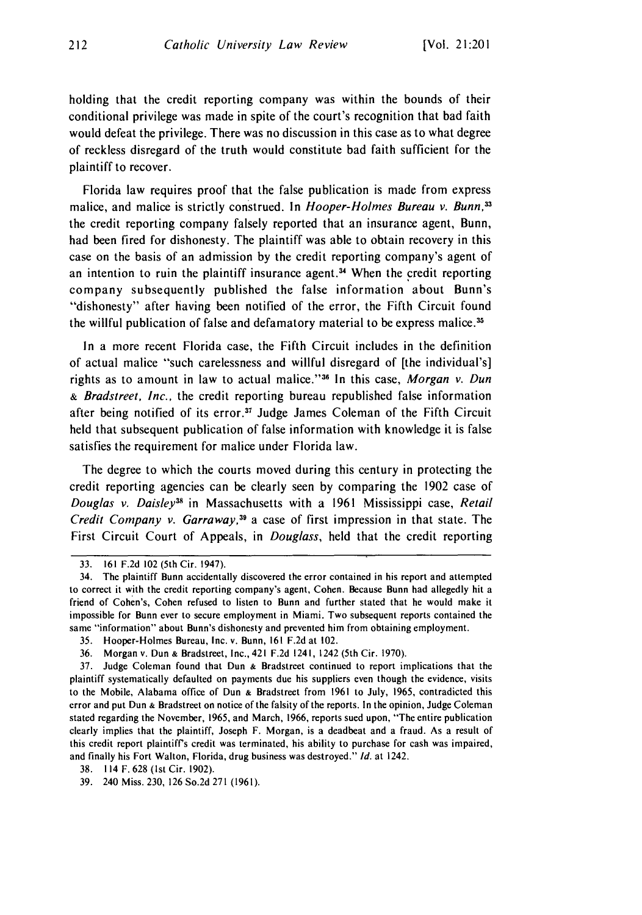holding that the credit reporting company was within the bounds of their conditional privilege was made in spite of the court's recognition that bad faith would defeat the privilege. There was no discussion in this case as to what degree of reckless disregard of the truth would constitute bad faith sufficient for the plaintiff to recover.

Florida law requires proof that the false publication is made from express malice, and malice is strictly construed. In *Hooper-Holmes Bureau v. Bunn*,<sup>33</sup> the credit reporting company falsely reported that an insurance agent, Bunn, had been fired for dishonesty. The plaintiff was able to obtain recovery in this case on the basis of an admission by the credit reporting company's agent of an intention to ruin the plaintiff insurance agent.<sup>34</sup> When the credit reporting company subsequently published the false information about Bunn's "dishonesty" after having been notified of the error, the Fifth Circuit found the willful publication of false and defamatory material to be express malice.<sup>35</sup>

In a more recent Florida case, the Fifth Circuit includes in the definition of actual malice "such carelessness and willful disregard of [the individual's] rights as to amount in law to actual malice."<sup>36</sup> In this case, Morgan v. Dun & Bradstreet, Inc., the credit reporting bureau republished false information after being notified of its error.<sup>37</sup> Judge James Coleman of the Fifth Circuit held that subsequent publication of false information with knowledge it is false satisfies the requirement for malice under Florida law.

The degree to which the courts moved during this century in protecting the credit reporting agencies can be clearly seen by comparing the 1902 case of Douglas v. Daisley3*a* in Massachusetts with a 1961 Mississippi case, Retail Credit Company v. Garraway,<sup>39</sup> a case of first impression in that state. The First Circuit Court of Appeals, in *Douglass*, held that the credit reporting

<sup>33. 161</sup> F.2d 102 (5th Cir. 1947).

<sup>34.</sup> The plaintiff Bunn accidentally discovered the error contained in his report and attempted to correct it with the credit reporting company's agent, Cohen. Because Bunn had allegedly hit a friend of Cohen's, Cohen refused to listen to Bunn and further stated that he would make it impossible for Bunn ever to secure employment in Miami. Two subsequent reports contained the same "information" about Bunn's dishonesty and prevented him from obtaining employment.

<sup>35.</sup> Hooper-Holmes Bureau, Inc. v. Bunn, 161 F.2d at 102.

<sup>36.</sup> Morgan v. Dun & Bradstreet, Inc., 421 F.2d 1241, 1242 (5th Cir. 1970).

<sup>37.</sup> Judge Coleman found that Dun & Bradstreet continued to report implications that the plaintiff systematically defaulted on payments due his suppliers even though the evidence, visits to the Mobile, Alabama office of Dun & Bradstreet from 1961 to July, 1965, contradicted this error and put Dun **&** Bradstreet on notice of the falsity of the reports. In the opinion, Judge Coleman stated regarding the November, 1965, and March, 1966, reports sued upon, "The entire publication clearly implies that the plaintiff, Joseph F. Morgan, is a deadbeat and a fraud. As a result of this credit report plaintiffs credit was terminated, his ability to purchase for cash was impaired, and finally his Fort Walton, Florida, drug business was destroyed." Id. at 1242.

<sup>38. 114</sup> F. 628 (1st Cir. 1902).

<sup>39. 240</sup> Miss. 230, 126 So.2d 271 (1961).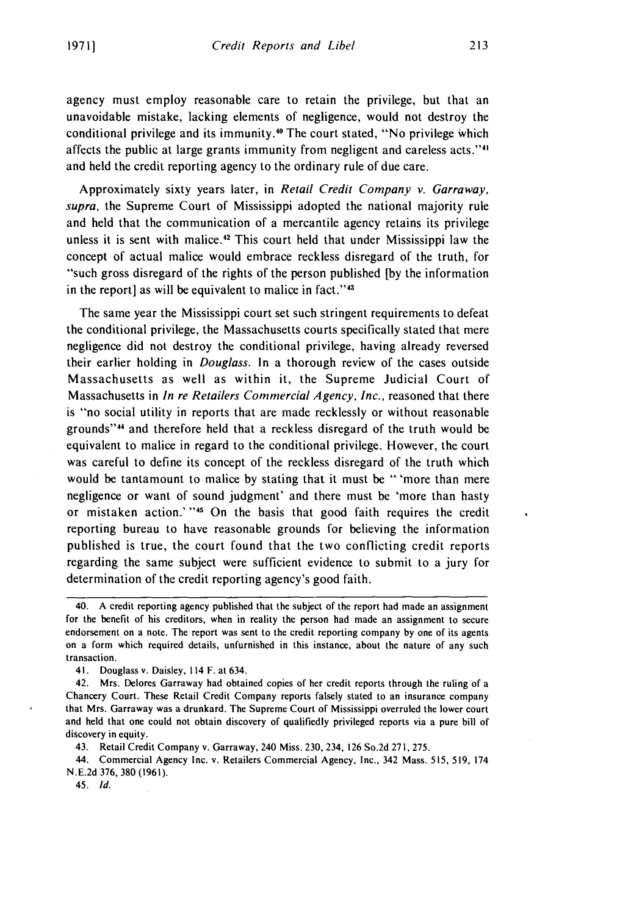agency must employ reasonable care to retain the privilege, but that an unavoidable mistake, lacking elements of negligence, would not destroy the conditional privilege and its immunity.<sup>40</sup> The court stated, "No privilege which affects the public at large grants immunity from negligent and careless acts."' and held the credit reporting agency to the ordinary rule of due care.

Approximately sixty years later, in Retail Credit Company v. Garraway, supra, the Supreme Court of Mississippi adopted the national majority rule and held that the communication of a mercantile agency retains its privilege unless it is sent with malice.<sup>42</sup> This court held that under Mississippi law the concept of actual malice would embrace reckless disregard of the truth, for "such gross disregard of the rights of the person published **[by** the information in the report] as will be equivalent to malice in fact."<sup>43</sup>

The same year the Mississippi court set such stringent requirements to defeat the conditional privilege, the Massachusetts courts specifically stated that mere negligence did not destroy the conditional privilege, having already reversed their earlier holding in *Douglass*. In a thorough review of the cases outside Massachusetts as well as within it, the Supreme Judicial Court of Massachusetts in In re Retailers Commercial Agency, Inc., reasoned that there is "no social utility in reports that are made recklessly or without reasonable grounds" 4 and therefore held that a reckless disregard of the truth would be equivalent to malice in regard to the conditional privilege. However, the court was careful to define its concept of the reckless disregard of the truth which would be tantamount to malice by stating that it must be "'more than mere negligence or want of sound judgment' and there must be 'more than hasty or mistaken action.' "<sup>45</sup> On the basis that good faith requires the credit reporting bureau to have reasonable grounds for believing the information published is true, the court found that the two conflicting credit reports regarding the same subject were sufficient evidence to submit to a jury for determination of the credit reporting agency's good faith.

44. Commercial Agency Inc. v. Retailers Commercial Agency, Inc., 342 Mass. 515, 519, 174 N.E.2d 376, 380 (1961).

45. Id.

<sup>40.</sup> A credit reporting agency published that the subject of the report had made an assignment for the benefit of his creditors, when in reality the person had made an assignment to secure endorsement on a note. The report was sent to the credit reporting company by one of its agents on a form which required details, unfurnished in this instance, about the nature of any such transaction.

<sup>41.</sup> Douglass v. Daisley, 114 F. at 634.

<sup>42.</sup> Mrs. Delores Garraway had obtained copies of her credit reports through the ruling of a Chancery Court. These Retail Credit Company reports falsely stated to an insurance company that Mrs. Garraway was a drunkard. The Supreme Court of Mississippi overruled the lower court and held that one could not obtain discovery of qualifiedly privileged reports via a pure bill of discovery in equity.

<sup>43.</sup> Retail Credit Company v. Garraway, 240 Miss. 230, 234, 126 So.2d 271, 275.